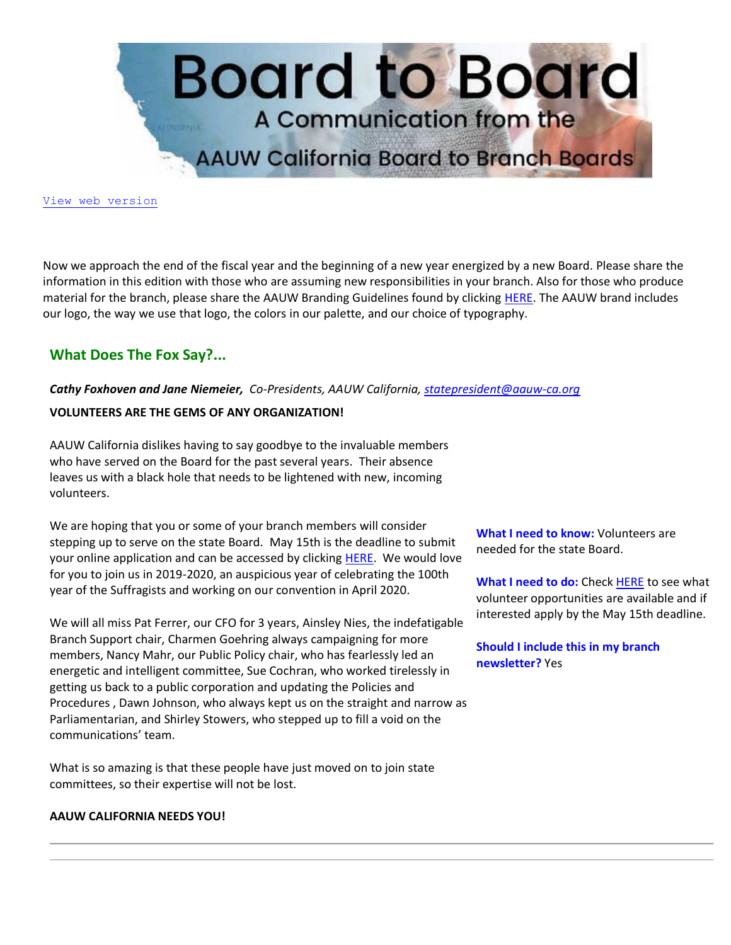

[View web version](https://bor.aauw-ca.org/sendy/w/892WZcugyyn7Dp4I7u2fztNQ/X4kB0ERVfDDPr7iAvcwqJA/8U8aHioUNLM0lNbRtYg8Tw)

Now we approach the end of the fiscal year and the beginning of a new year energized by a new Board. Please share the information in this edition with those who are assuming new responsibilities in your branch. Also for those who produce material for the branch, please share the AAUW Branding Guidelines found by clicking [HERE.](https://bor.aauw-ca.org/sendy/l/892WZcugyyn7Dp4I7u2fztNQ/ChlqqAXYDZytu8FZuDBArQ/8U8aHioUNLM0lNbRtYg8Tw) The AAUW brand includes our logo, the way we use that logo, the colors in our palette, and our choice of typography.

# **What Does The Fox Say?...**

*Cathy Foxhoven and Jane Niemeier, Co-Presidents, AAUW California, [statepresident@aauw-ca.org](mailto:statepresident@aauw-ca.org)*

## **VOLUNTEERS ARE THE GEMS OF ANY ORGANIZATION!**

AAUW California dislikes having to say goodbye to the invaluable members who have served on the Board for the past several years. Their absence leaves us with a black hole that needs to be lightened with new, incoming volunteers.

We are hoping that you or some of your branch members will consider stepping up to serve on the state Board. May 15th is the deadline to submit your online application and can be accessed by clicking [HERE.](https://bor.aauw-ca.org/sendy/l/892WZcugyyn7Dp4I7u2fztNQ/3vkQVhp892Np892l1T892lKggFKA/8U8aHioUNLM0lNbRtYg8Tw) We would love for you to join us in 2019-2020, an auspicious year of celebrating the 100th year of the Suffragists and working on our convention in April 2020.

We will all miss Pat Ferrer, our CFO for 3 years, Ainsley Nies, the indefatigable Branch Support chair, Charmen Goehring always campaigning for more members, Nancy Mahr, our Public Policy chair, who has fearlessly led an energetic and intelligent committee, Sue Cochran, who worked tirelessly in getting us back to a public corporation and updating the Policies and Procedures , Dawn Johnson, who always kept us on the straight and narrow as Parliamentarian, and Shirley Stowers, who stepped up to fill a void on the communications' team.

What is so amazing is that these people have just moved on to join state committees, so their expertise will not be lost.

## **AAUW CALIFORNIA NEEDS YOU!**

**What I need to know:** Volunteers are needed for the state Board.

**What I need to do:** Check [HERE](https://bor.aauw-ca.org/sendy/l/892WZcugyyn7Dp4I7u2fztNQ/3vkQVhp892Np892l1T892lKggFKA/8U8aHioUNLM0lNbRtYg8Tw) to see what volunteer opportunities are available and if interested apply by the May 15th deadline.

**Should I include this in my branch newsletter?** Yes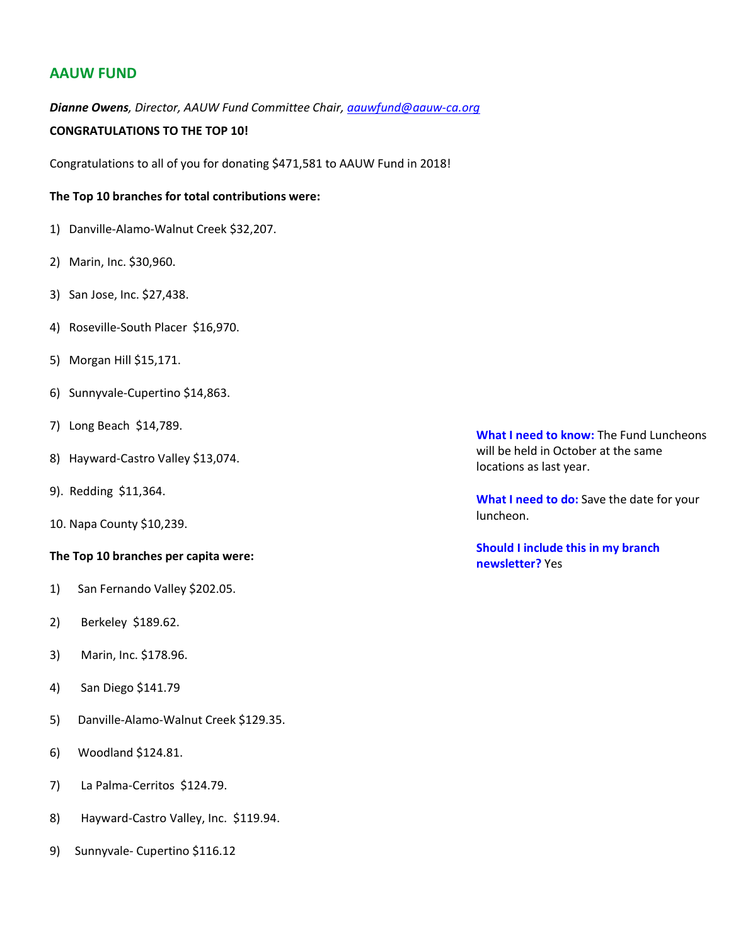## **AAUW FUND**

*Dianne Owens, Director, AAUW Fund Committee Chair, [aauwfund@aauw-ca.org](mailto:aauwfund@aauw-ca.org)*

## **CONGRATULATIONS TO THE TOP 10!**

Congratulations to all of you for donating \$471,581 to AAUW Fund in 2018!

## **The Top 10 branches for total contributions were:**

- 1) Danville-Alamo-Walnut Creek \$32,207.
- 2) Marin, Inc. \$30,960.
- 3) San Jose, Inc. \$27,438.
- 4) Roseville-South Placer \$16,970.
- 5) Morgan Hill \$15,171.
- 6) Sunnyvale-Cupertino \$14,863.
- 7) Long Beach \$14,789.
- 8) Hayward-Castro Valley \$13,074.
- 9). Redding \$11,364.
- 10. Napa County \$10,239.

#### **The Top 10 branches per capita were:**

- 1) San Fernando Valley \$202.05.
- 2) Berkeley \$189.62.
- 3) Marin, Inc. \$178.96.
- 4) San Diego \$141.79
- 5) Danville-Alamo-Walnut Creek \$129.35.
- 6) Woodland \$124.81.
- 7) La Palma-Cerritos \$124.79.
- 8) Hayward-Castro Valley, Inc. \$119.94.
- 9) Sunnyvale- Cupertino \$116.12

**What I need to know:** The Fund Luncheons will be held in October at the same locations as last year.

**What I need to do:** Save the date for your luncheon.

**Should I include this in my branch newsletter?** Yes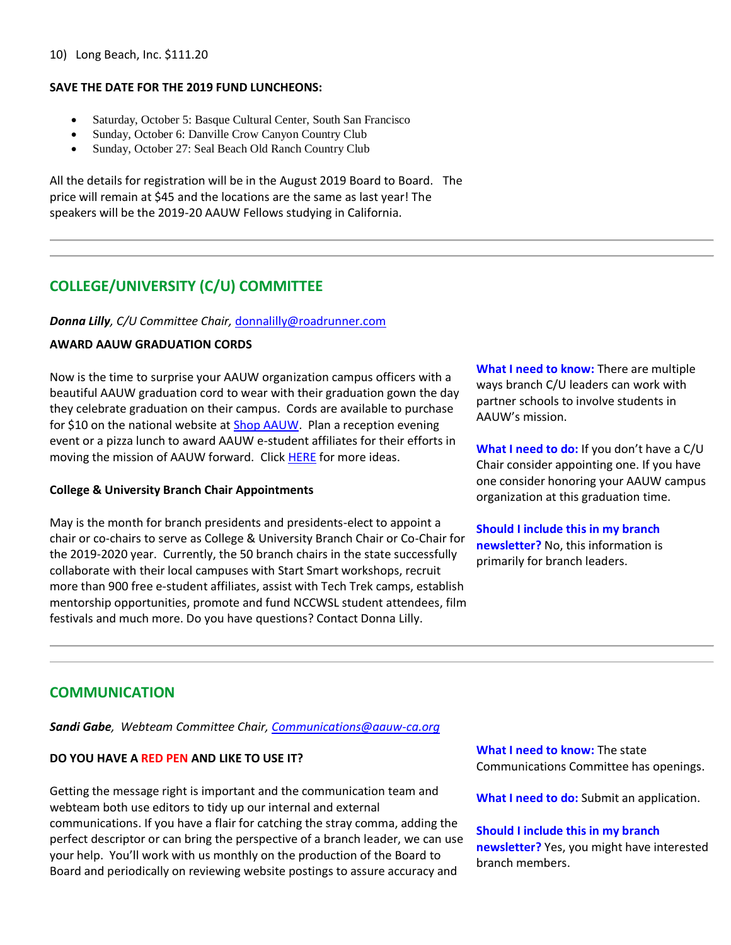#### 10) Long Beach, Inc. \$111.20

## **SAVE THE DATE FOR THE 2019 FUND LUNCHEONS:**

- Saturday, October 5: Basque Cultural Center, South San Francisco
- Sunday, October 6: Danville Crow Canyon Country Club
- Sunday, October 27: Seal Beach Old Ranch Country Club

All the details for registration will be in the August 2019 Board to Board. The price will remain at \$45 and the locations are the same as last year! The speakers will be the 2019-20 AAUW Fellows studying in California.

# **COLLEGE/UNIVERSITY (C/U) COMMITTEE**

## *Donna Lilly, C/U Committee Chair,* [donnalilly@roadrunner.com](mailto:donnalilly@roadrunner.com)

## **AWARD AAUW GRADUATION CORDS**

Now is the time to surprise your AAUW organization campus officers with a beautiful AAUW graduation cord to wear with their graduation gown the day they celebrate graduation on their campus. Cords are available to purchase for \$10 on the national website at [Shop AAUW.](https://bor.aauw-ca.org/sendy/l/892WZcugyyn7Dp4I7u2fztNQ/oteJUvk96ym9qNF7pc7v4g/8U8aHioUNLM0lNbRtYg8Tw) Plan a reception evening event or a pizza lunch to award AAUW e-student affiliates for their efforts in moving the mission of AAUW forward. Click [HERE](https://bor.aauw-ca.org/sendy/l/892WZcugyyn7Dp4I7u2fztNQ/VBafLC0cOUpCuApxYgc763OA/8U8aHioUNLM0lNbRtYg8Tw) for more ideas.

## **College & University Branch Chair Appointments**

May is the month for branch presidents and presidents-elect to appoint a chair or co-chairs to serve as College & University Branch Chair or Co-Chair for the 2019-2020 year. Currently, the 50 branch chairs in the state successfully collaborate with their local campuses with Start Smart workshops, recruit more than 900 free e-student affiliates, assist with Tech Trek camps, establish mentorship opportunities, promote and fund NCCWSL student attendees, film festivals and much more. Do you have questions? Contact Donna Lilly.

**What I need to know:** There are multiple ways branch C/U leaders can work with partner schools to involve students in AAUW's mission.

**What I need to do:** If you don't have a C/U Chair consider appointing one. If you have one consider honoring your AAUW campus organization at this graduation time.

**Should I include this in my branch newsletter?** No, this information is primarily for branch leaders.

## **COMMUNICATION**

*Sandi Gabe, Webteam Committee Chair[, Communications@aauw-ca.org](mailto:Communications@aauw-ca.org)*

## **DO YOU HAVE A RED PEN AND LIKE TO USE IT?**

Getting the message right is important and the communication team and webteam both use editors to tidy up our internal and external communications. If you have a flair for catching the stray comma, adding the perfect descriptor or can bring the perspective of a branch leader, we can use your help. You'll work with us monthly on the production of the Board to Board and periodically on reviewing website postings to assure accuracy and

**What I need to know:** The state Communications Committee has openings.

**What I need to do:** Submit an application.

#### **Should I include this in my branch**

**newsletter?** Yes, you might have interested branch members.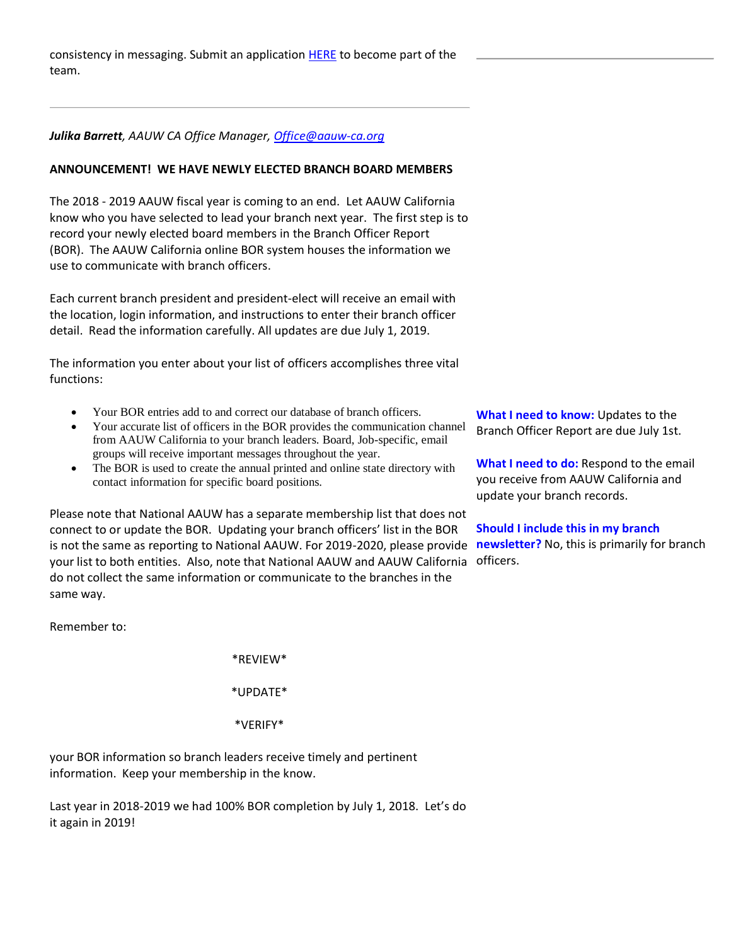consistency in messaging. Submit an application **HERE** to become part of the team.

### *Julika Barrett, AAUW CA Office Manager, [Office@aauw-ca.org](mailto:office@aauw-ca.org)*

#### **ANNOUNCEMENT! WE HAVE NEWLY ELECTED BRANCH BOARD MEMBERS**

The 2018 - 2019 AAUW fiscal year is coming to an end. Let AAUW California know who you have selected to lead your branch next year. The first step is to record your newly elected board members in the Branch Officer Report (BOR). The AAUW California online BOR system houses the information we use to communicate with branch officers.

Each current branch president and president-elect will receive an email with the location, login information, and instructions to enter their branch officer detail. Read the information carefully. All updates are due July 1, 2019.

The information you enter about your list of officers accomplishes three vital functions:

- Your BOR entries add to and correct our database of branch officers.
- Your accurate list of officers in the BOR provides the communication channel from AAUW California to your branch leaders. Board, Job-specific, email groups will receive important messages throughout the year.
- The BOR is used to create the annual printed and online state directory with contact information for specific board positions.

Please note that National AAUW has a separate membership list that does not connect to or update the BOR. Updating your branch officers' list in the BOR is not the same as reporting to National AAUW. For 2019-2020, please provide **newsletter?** No, this is primarily for branch your list to both entities. Also, note that National AAUW and AAUW California officers.do not collect the same information or communicate to the branches in the same way.

Remember to:

\*REVIEW\*

\*UPDATE\*

\*VERIFY\*

your BOR information so branch leaders receive timely and pertinent information. Keep your membership in the know.

Last year in 2018-2019 we had 100% BOR completion by July 1, 2018. Let's do it again in 2019!

**What I need to know:** Updates to the Branch Officer Report are due July 1st.

**What I need to do:** Respond to the email you receive from AAUW California and update your branch records.

**Should I include this in my branch**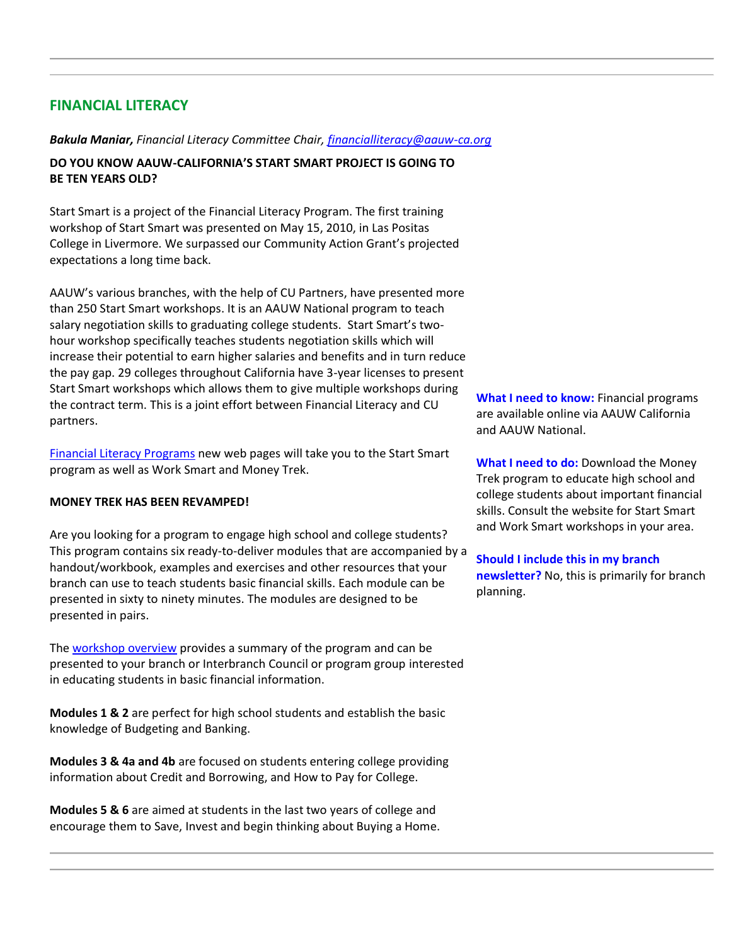## **FINANCIAL LITERACY**

#### *Bakula Maniar, Financial Literacy Committee Chair, [financialliteracy@aauw-ca.org](mailto:financialliteracy@aauw-ca.org)*

## **DO YOU KNOW AAUW-CALIFORNIA'S START SMART PROJECT IS GOING TO BE TEN YEARS OLD?**

Start Smart is a project of the Financial Literacy Program. The first training workshop of Start Smart was presented on May 15, 2010, in Las Positas College in Livermore. We surpassed our Community Action Grant's projected expectations a long time back.

AAUW's various branches, with the help of CU Partners, have presented more than 250 Start Smart workshops. It is an AAUW National program to teach salary negotiation skills to graduating college students. Start Smart's twohour workshop specifically teaches students negotiation skills which will increase their potential to earn higher salaries and benefits and in turn reduce the pay gap. 29 colleges throughout California have 3-year licenses to present Start Smart workshops which allows them to give multiple workshops during the contract term. This is a joint effort between Financial Literacy and CU partners.

[Financial Literacy Programs](https://bor.aauw-ca.org/sendy/l/892WZcugyyn7Dp4I7u2fztNQ/ZqMdWXTyfbwoaRzyCaFKYA/8U8aHioUNLM0lNbRtYg8Tw) new web pages will take you to the Start Smart program as well as Work Smart and Money Trek.

#### **MONEY TREK HAS BEEN REVAMPED!**

Are you looking for a program to engage high school and college students? This program contains six ready-to-deliver modules that are accompanied by a handout/workbook, examples and exercises and other resources that your branch can use to teach students basic financial skills. Each module can be presented in sixty to ninety minutes. The modules are designed to be presented in pairs.

Th[e workshop overview](https://bor.aauw-ca.org/sendy/l/892WZcugyyn7Dp4I7u2fztNQ/73am98IWG5o5AhcM8IWzBw/8U8aHioUNLM0lNbRtYg8Tw) provides a summary of the program and can be presented to your branch or Interbranch Council or program group interested in educating students in basic financial information.

**Modules 1 & 2** are perfect for high school students and establish the basic knowledge of Budgeting and Banking.

**Modules 3 & 4a and 4b** are focused on students entering college providing information about Credit and Borrowing, and How to Pay for College.

**Modules 5 & 6** are aimed at students in the last two years of college and encourage them to Save, Invest and begin thinking about Buying a Home. **What I need to know:** Financial programs are available online via AAUW California and AAUW National.

**What I need to do:** Download the Money Trek program to educate high school and college students about important financial skills. Consult the website for Start Smart and Work Smart workshops in your area.

**Should I include this in my branch newsletter?** No, this is primarily for branch planning.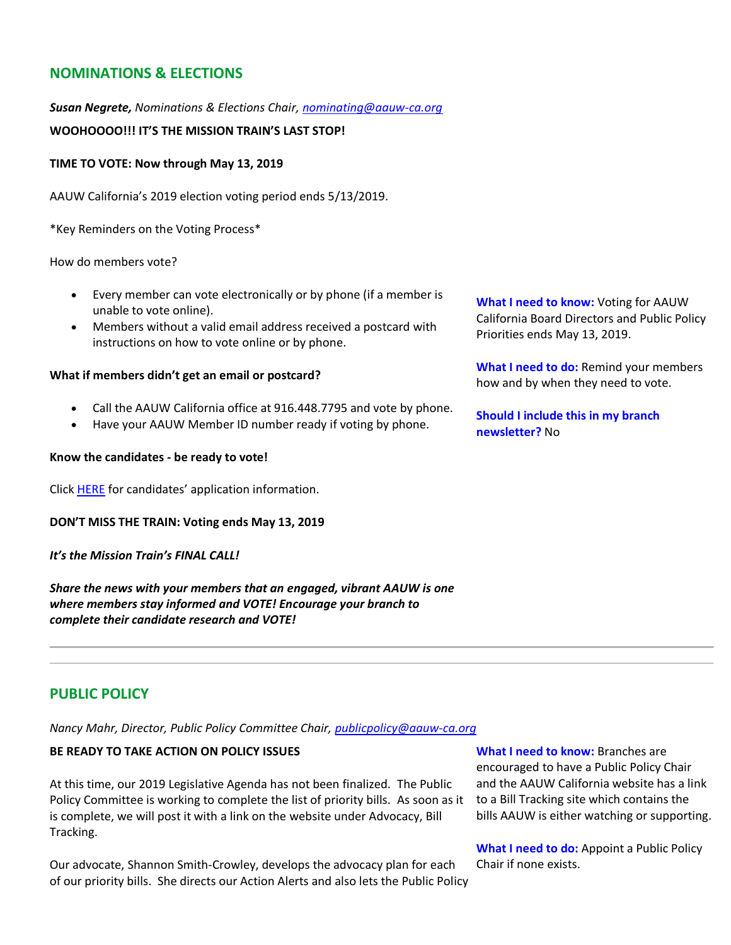# **NOMINATIONS & ELECTIONS**

## *Susan Negrete, Nominations & Elections Chair, [nominating@aauw-ca.org](mailto:nominating@aauw-ca.org)*

## **WOOHOOOO!!! IT'S THE MISSION TRAIN'S LAST STOP!**

### **TIME TO VOTE: Now through May 13, 2019**

AAUW California's 2019 election voting period ends 5/13/2019.

\*Key Reminders on the Voting Process\*

#### How do members vote?

- Every member can vote electronically or by phone (if a member is unable to vote online).
- Members without a valid email address received a postcard with instructions on how to vote online or by phone.

#### **What if members didn't get an email or postcard?**

- Call the AAUW California office at 916.448.7795 and vote by phone.
- Have your AAUW Member ID number ready if voting by phone.

#### **Know the candidates - be ready to vote!**

Clic[k HERE](https://bor.aauw-ca.org/sendy/l/892WZcugyyn7Dp4I7u2fztNQ/XHFdXaJziOVFvQazLiiuMw/8U8aHioUNLM0lNbRtYg8Tw) for candidates' application information.

#### **DON'T MISS THE TRAIN: Voting ends May 13, 2019**

#### *It's the Mission Train's FINAL CALL!*

*Share the news with your members that an engaged, vibrant AAUW is one where members stay informed and VOTE! Encourage your branch to complete their candidate research and VOTE!*

**What I need to know:** Voting for AAUW California Board Directors and Public Policy Priorities ends May 13, 2019.

**What I need to do:** Remind your members how and by when they need to vote.

**Should I include this in my branch newsletter?** No

## **PUBLIC POLICY**

*Nancy Mahr, Director, Public Policy Committee Chair, [publicpolicy@aauw-ca.org](mailto:PublicPolicy@aauw-ca.org)*

## **BE READY TO TAKE ACTION ON POLICY ISSUES**

At this time, our 2019 Legislative Agenda has not been finalized. The Public Policy Committee is working to complete the list of priority bills. As soon as it is complete, we will post it with a link on the website under Advocacy, Bill Tracking.

Our advocate, Shannon Smith-Crowley, develops the advocacy plan for each of our priority bills. She directs our Action Alerts and also lets the Public Policy

**What I need to know:** Branches are encouraged to have a Public Policy Chair and the AAUW California website has a link to a Bill Tracking site which contains the bills AAUW is either watching or supporting.

**What I need to do:** Appoint a Public Policy Chair if none exists.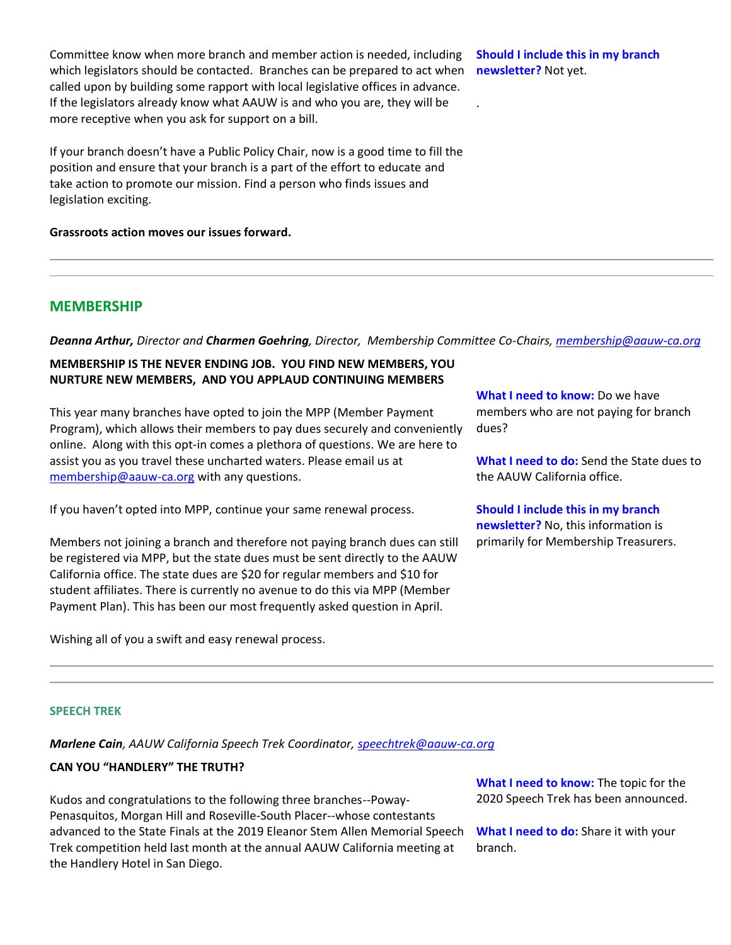Committee know when more branch and member action is needed, including which legislators should be contacted. Branches can be prepared to act when called upon by building some rapport with local legislative offices in advance. If the legislators already know what AAUW is and who you are, they will be more receptive when you ask for support on a bill.

If your branch doesn't have a Public Policy Chair, now is a good time to fill the position and ensure that your branch is a part of the effort to educate and take action to promote our mission. Find a person who finds issues and legislation exciting.

**Grassroots action moves our issues forward.**

**MEMBERSHIP**

*Deanna Arthur, Director and Charmen Goehring, Director, Membership Committee Co-Chairs[, membership@aauw-ca.org](mailto:membership@aauw-ca.org)*

## **MEMBERSHIP IS THE NEVER ENDING JOB. YOU FIND NEW MEMBERS, YOU NURTURE NEW MEMBERS, AND YOU APPLAUD CONTINUING MEMBERS**

This year many branches have opted to join the MPP (Member Payment Program), which allows their members to pay dues securely and conveniently online. Along with this opt-in comes a plethora of questions. We are here to assist you as you travel these uncharted waters. Please email us at [membership@aauw-ca.org](mailto:membership@aauw-ca.org) with any questions.

If you haven't opted into MPP, continue your same renewal process.

Members not joining a branch and therefore not paying branch dues can still be registered via MPP, but the state dues must be sent directly to the AAUW California office. The state dues are \$20 for regular members and \$10 for student affiliates. There is currently no avenue to do this via MPP (Member Payment Plan). This has been our most frequently asked question in April.

Wishing all of you a swift and easy renewal process.

**What I need to know:** Do we have members who are not paying for branch dues?

**What I need to do:** Send the State dues to the AAUW California office.

**Should I include this in my branch newsletter?** No, this information is primarily for Membership Treasurers.

#### **SPEECH TREK**

*Marlene Cain, AAUW California Speech Trek Coordinator, [speechtrek@aauw-ca.org](mailto:speechtrek@aauw-ca.org)*

## **CAN YOU "HANDLERY" THE TRUTH?**

Kudos and congratulations to the following three branches--Poway-Penasquitos, Morgan Hill and Roseville-South Placer--whose contestants advanced to the State Finals at the 2019 Eleanor Stem Allen Memorial Speech Trek competition held last month at the annual AAUW California meeting at the Handlery Hotel in San Diego.

**What I need to know:** The topic for the 2020 Speech Trek has been announced.

**What I need to do:** Share it with your branch.

**Should I include this in my branch newsletter?** Not yet.

.